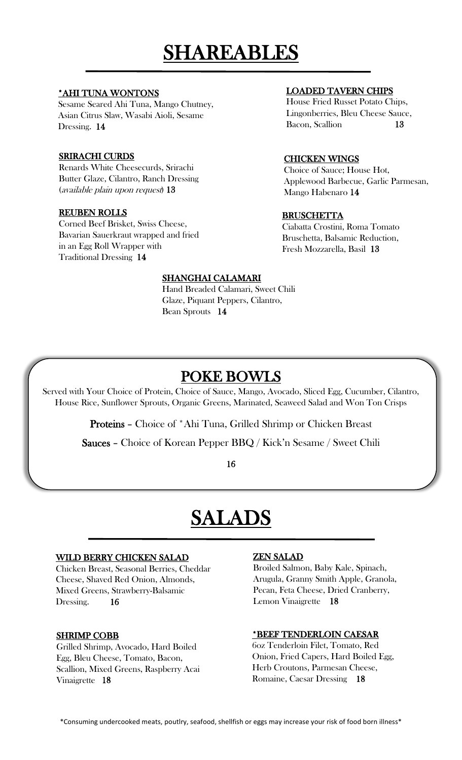# SHAREABLES

#### \*AHI TUNA WONTONS

Sesame Seared Ahi Tuna, Mango Chutney, Asian Citrus Slaw, Wasabi Aioli, Sesame Dressing. 14

#### SRIRACHI CURDS

Renards White Cheesecurds, Srirachi Butter Glaze, Cilantro, Ranch Dressing (available plain upon request) 13

#### REUBEN ROLLS

Corned Beef Brisket, Swiss Cheese, Bavarian Sauerkraut wrapped and fried in an Egg Roll Wrapper with Traditional Dressing 14

#### LOADED TAVERN CHIPS

House Fried Russet Potato Chips, Lingonberries, Bleu Cheese Sauce, Bacon, Scallion 13

#### CHICKEN WINGS

Choice of Sauce; House Hot, Applewood Barbecue, Garlic Parmesan, Mango Habenaro 14

#### BRUSCHETTA

Ciabatta Crostini, Roma Tomato Bruschetta, Balsamic Reduction, Fresh Mozzarella, Basil 13

#### SHANGHAI CALAMARI

Hand Breaded Calamari, Sweet Chili Glaze, Piquant Peppers, Cilantro, Bean Sprouts 14

# POKE BOWLS

Served with Your Choice of Protein, Choice of Sauce, Mango, Avocado, Sliced Egg, Cucumber, Cilantro, House Rice, Sunflower Sprouts, Organic Greens, Marinated, Seaweed Salad and Won Ton Crisps

Proteins – Choice of \*Ahi Tuna, Grilled Shrimp or Chicken Breast

Sauces – Choice of Korean Pepper BBQ / Kick'n Sesame / Sweet Chili

16

## SALADS

#### WILD BERRY CHICKEN SALAD

Chicken Breast, Seasonal Berries, Cheddar Cheese, Shaved Red Onion, Almonds, Mixed Greens, Strawberry-Balsamic Dressing. 16

#### SHRIMP COBB

Grilled Shrimp, Avocado, Hard Boiled Egg, Bleu Cheese, Tomato, Bacon, Scallion, Mixed Greens, Raspberry Acai Vinaigrette 18

#### ZEN SALAD

Broiled Salmon, Baby Kale, Spinach, Arugula, Granny Smith Apple, Granola, Pecan, Feta Cheese, Dried Cranberry, Lemon Vinaigrette 18

#### \*BEEF TENDERLOIN CAESAR

6oz Tenderloin Filet, Tomato, Red Onion, Fried Capers, Hard Boiled Egg, Herb Croutons, Parmesan Cheese, Romaine, Caesar Dressing 18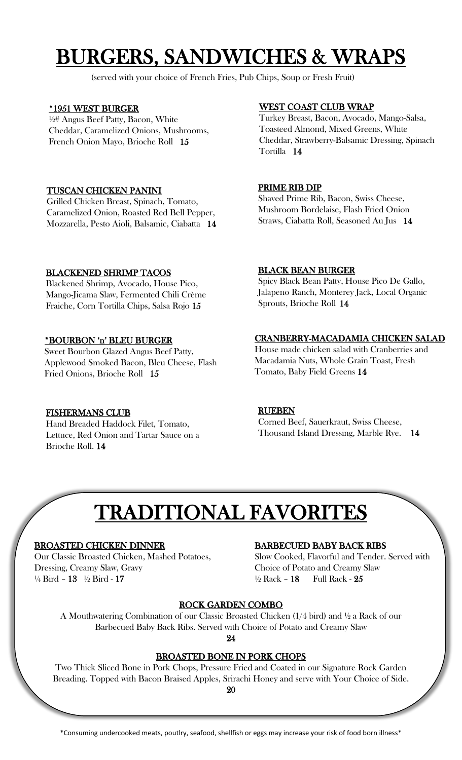# BURGERS, SANDWICHES & WRAPS

(served with your choice of French Fries, Pub Chips, Soup or Fresh Fruit)

#### \*1951 WEST BURGER

½# Angus Beef Patty, Bacon, White Cheddar, Caramelized Onions, Mushrooms, French Onion Mayo, Brioche Roll 15

#### TUSCAN CHICKEN PANINI

Grilled Chicken Breast, Spinach, Tomato, Caramelized Onion, Roasted Red Bell Pepper, Mozzarella, Pesto Aioli, Balsamic, Ciabatta 14

#### BLACKENED SHRIMP TACOS

Blackened Shrimp, Avocado, House Pico, Mango-Jicama Slaw, Fermented Chili Crème Fraiche, Corn Tortilla Chips, Salsa Rojo 15

#### \*BOURBON 'n' BLEU BURGER

Sweet Bourbon Glazed Angus Beef Patty, Applewood Smoked Bacon, Bleu Cheese, Flash Fried Onions, Brioche Roll 15

#### FISHERMANS CLUB

Hand Breaded Haddock Filet, Tomato, Lettuce, Red Onion and Tartar Sauce on a Brioche Roll. 14

#### WEST COAST CLUB WRAP

Turkey Breast, Bacon, Avocado, Mango-Salsa, Toasteed Almond, Mixed Greens, White Cheddar, Strawberry-Balsamic Dressing, Spinach Tortilla 14

#### PRIME RIB DIP

Shaved Prime Rib, Bacon, Swiss Cheese, Mushroom Bordelaise, Flash Fried Onion Straws, Ciabatta Roll, Seasoned Au Jus 14

#### BLACK BEAN BURGER

Spicy Black Bean Patty, House Pico De Gallo, Jalapeno Ranch, Monterey Jack, Local Organic Sprouts, Brioche Roll 14

#### CRANBERRY-MACADAMIA CHICKEN SALAD

House made chicken salad with Cranberries and Macadamia Nuts, Whole Grain Toast, Fresh Tomato, Baby Field Greens 14

### RUEBEN

Corned Beef, Sauerkraut, Swiss Cheese, Thousand Island Dressing, Marble Rye. 14

# TRADITIONAL FAVORITES

#### BROASTED CHICKEN DINNER

Our Classic Broasted Chicken, Mashed Potatoes, Dressing, Creamy Slaw, Gravy ¼ Bird – 13 ½ Bird - 17

#### BARBECUED BABY BACK RIBS

Slow Cooked, Flavorful and Tender. Served with Choice of Potato and Creamy Slaw  $\frac{1}{2}$  Rack - 18 Full Rack - 25

#### ROCK GARDEN COMBO

A Mouthwatering Combination of our Classic Broasted Chicken (1/4 bird) and ½ a Rack of our Barbecued Baby Back Ribs. Served with Choice of Potato and Creamy Slaw

24

#### BROASTED BONE IN PORK CHOPS

Two Thick Sliced Bone in Pork Chops, Pressure Fried and Coated in our Signature Rock Garden Breading. Topped with Bacon Braised Apples, Srirachi Honey and serve with Your Choice of Side.

20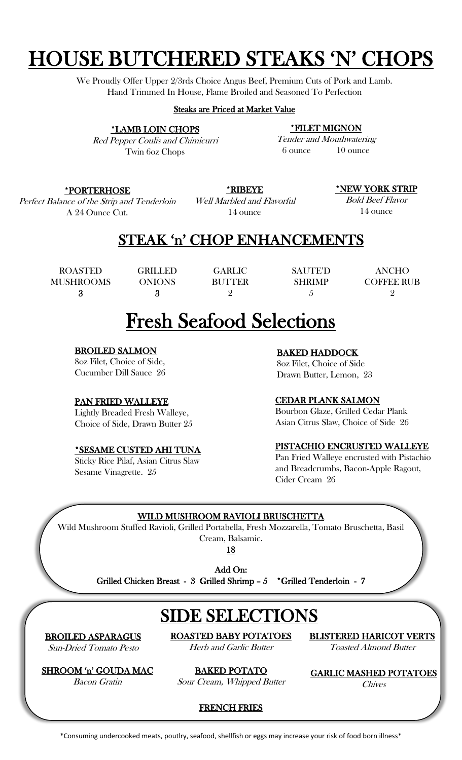# HOUSE BUTCHERED STEAKS 'N' CHOPS

We Proudly Offer Upper 2/3rds Choice Angus Beef, Premium Cuts of Pork and Lamb. Hand Trimmed In House, Flame Broiled and Seasoned To Perfection

#### Steaks are Priced at Market Value

\*LAMB LOIN CHOPS

Red Pepper Coulis and Chimicurri Twin 6oz Chops

\*FILET MIGNON

Tender and Mouthwatering 6 ounce 10 ounce

#### \*PORTERHOSE

Perfect Balance of the Strip and Tenderloin A 24 Ounce Cut.

\*RIBEYE

Well Marbled and Flavorful 14 ounce

\*NEW YORK STRIP

Bold Beef Flavor 14 ounce

### STEAK 'n' CHOP ENHANCEMENTS

ROASTED MUSHROOMS 3

GRILLED ONIONS 3

GARLIC BUTTER SAUTE'D **SHRIMP** 5

ANCHO COFFEE RUB  $\overline{Q}$ 

## Fresh Seafood Selections

 $\Omega$ 

#### BROILED SALMON

8oz Filet, Choice of Side, Cucumber Dill Sauce 26

#### PAN FRIED WALLEYE

Lightly Breaded Fresh Walleye, Choice of Side, Drawn Butter 25

#### \*SESAME CUSTED AHI TUNA

Sticky Rice Pilaf, Asian Citrus Slaw Sesame Vinagrette. 25

#### BAKED HADDOCK

8oz Filet, Choice of Side Drawn Butter, Lemon, 23

#### CEDAR PLANK SALMON

Bourbon Glaze, Grilled Cedar Plank Asian Citrus Slaw, Choice of Side 26

#### PISTACHIO ENCRUSTED WALLEYE

Pan Fried Walleye encrusted with Pistachio and Breadcrumbs, Bacon-Apple Ragout, Cider Cream 26

#### WILD MUSHROOM RAVIOLI BRUSCHETTA

Wild Mushroom Stuffed Ravioli, Grilled Portabella, Fresh Mozzarella, Tomato Bruschetta, Basil Cream, Balsamic.

18

Add On:

Grilled Chicken Breast - 3 Grilled Shrimp – 5 \*Grilled Tenderloin - 7 l

BROILED ASPARAGUS Sun-Dried Tomato Pesto

ROASTED BABY POTATOES Herb and Garlic Butter

SIDE SELECTIONS

BLISTERED HARICOT VERTS Toasted Almond Butter

SHROOM 'n' GOUDA MAC Bacon Gratin

BAKED POTATO Sour Cream, Whipped Butter

GARLIC MASHED POTATOES **Chives** 

FRENCH FRIES

\*Consuming undercooked meats, poutlry, seafood, shellfish or eggs may increase your risk of food born illness\*